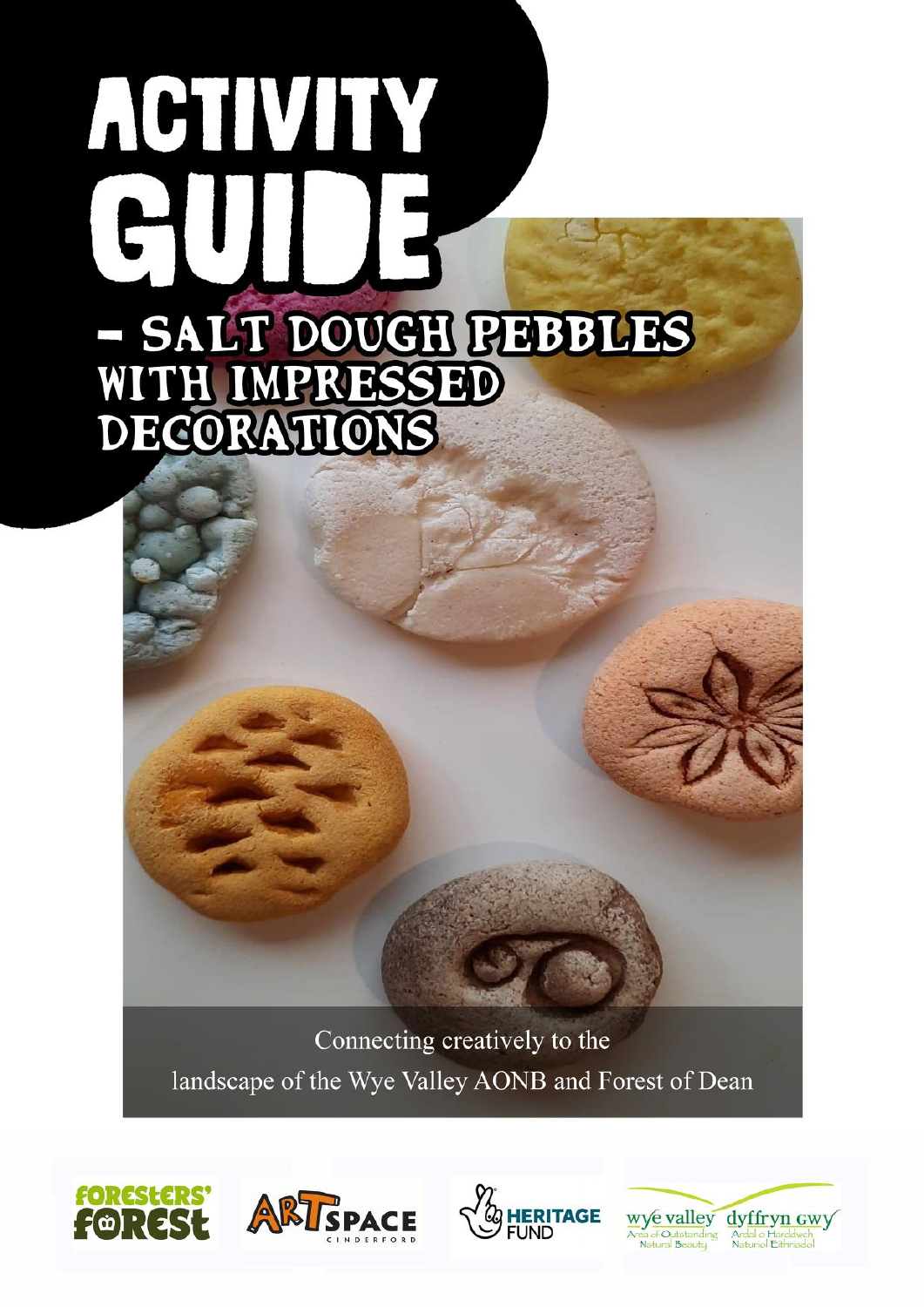# ACTIVITY **- SALT DOUGH PEBBLES<br>WITH IMPRESSED<br>DECORATIONS**

Connecting creatively to the landscape of the Wye Valley AONB and Forest of Dean







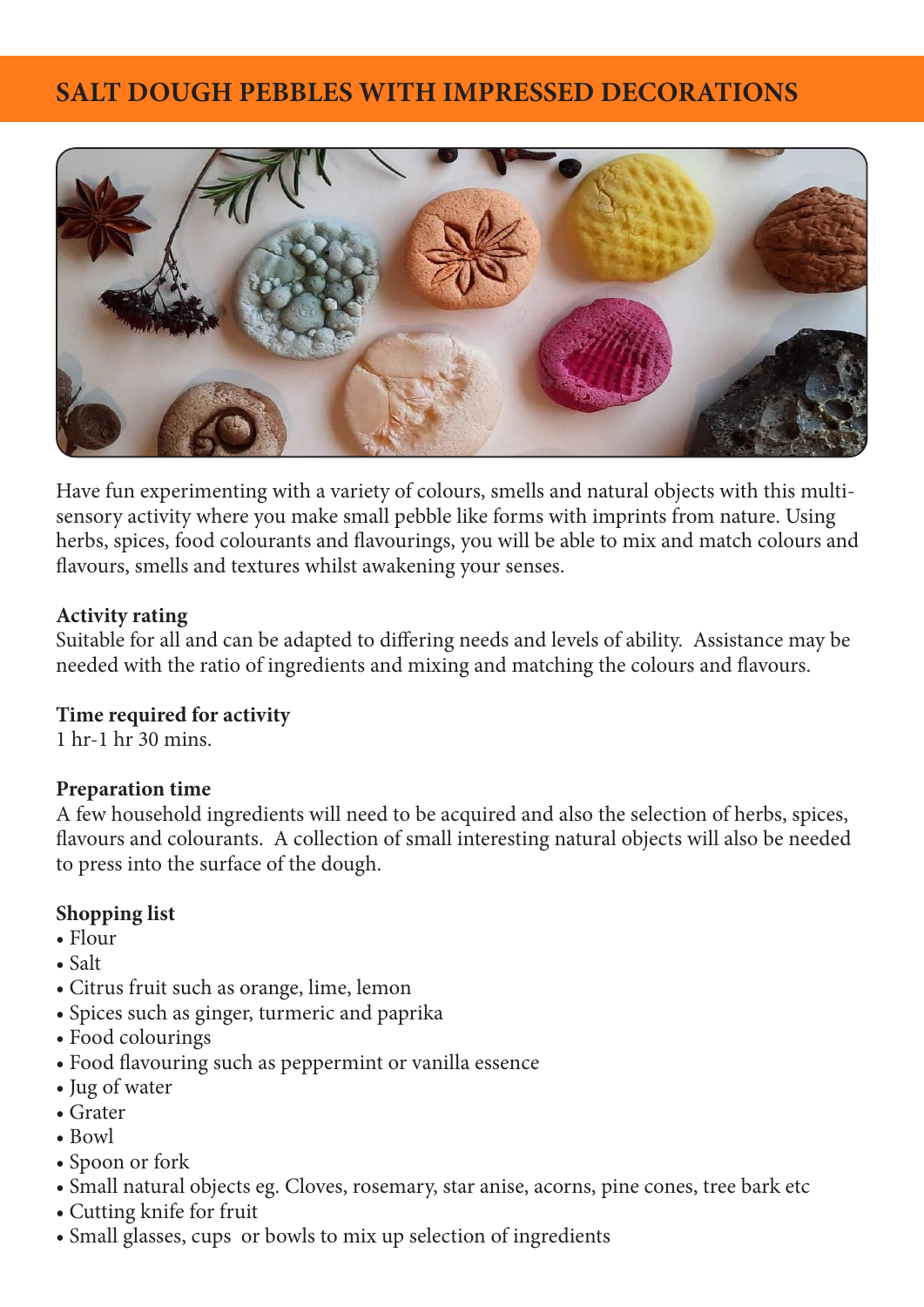# **SALT DOUGH PEBBLES WITH IMPRESSED DECORATIONS**



Have fun experimenting with a variety of colours, smells and natural objects with this multisensory activity where you make small pebble like forms with imprints from nature. Using herbs, spices, food colourants and flavourings, you will be able to mix and match colours and flavours, smells and textures whilst awakening your senses.

### **Activity rating**

Suitable for all and can be adapted to differing needs and levels of ability. Assistance may be needed with the ratio of ingredients and mixing and matching the colours and flavours.

### **Time required for activity**

1 hr-1 hr 30 mins.

### **Preparation time**

A few household ingredients will need to be acquired and also the selection of herbs, spices, flavours and colourants. A collection of small interesting natural objects will also be needed to press into the surface of the dough.

## **Shopping list**

- Flour
- Salt
- Citrus fruit such as orange, lime, lemon
- Spices such as ginger, turmeric and paprika
- Food colourings
- Food flavouring such as peppermint or vanilla essence
- Jug of water
- Grater
- Bowl
- Spoon or fork
- Small natural objects eg. Cloves, rosemary, star anise, acorns, pine cones, tree bark etc
- Cutting knife for fruit
- Small glasses, cups or bowls to mix up selection of ingredients